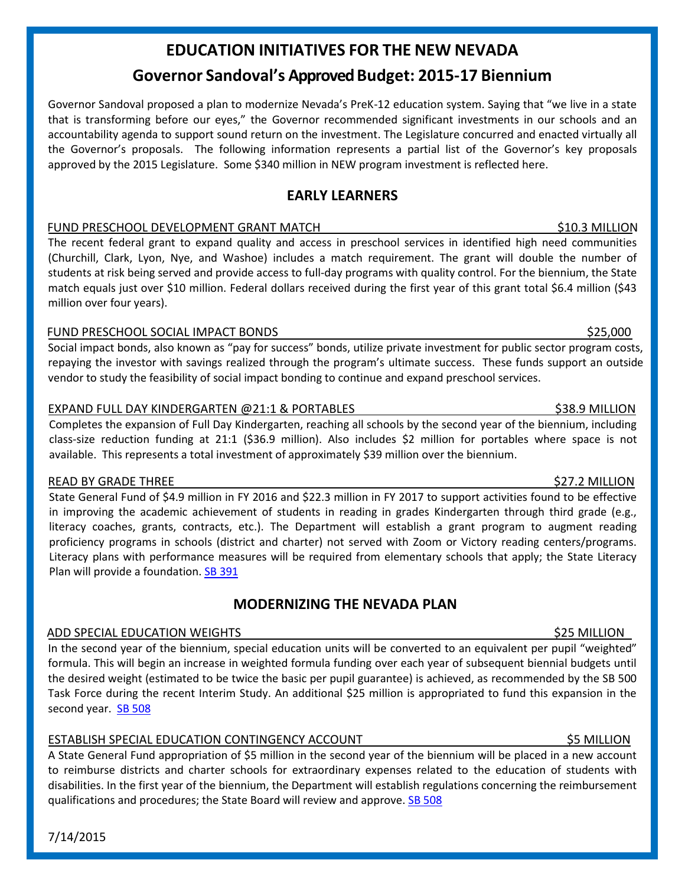# **EDUCATION INITIATIVES FOR THE NEW NEVADA Governor Sandoval's ApprovedBudget: 2015-17 Biennium**

Governor Sandoval proposed a plan to modernize Nevada's PreK-12 education system. Saying that "we live in a state that is transforming before our eyes," the Governor recommended significant investments in our schools and an accountability agenda to support sound return on the investment. The Legislature concurred and enacted virtually all the Governor's proposals. The following information represents a partial list of the Governor's key proposals approved by the 2015 Legislature. Some \$340 million in NEW program investment is reflected here.

## **EARLY LEARNERS**

### FUND PRESCHOOL DEVELOPMENT GRANT MATCH **\$10.3 MILLION** \$10.3 MILLION

The recent federal grant to expand quality and access in preschool services in identified high need communities (Churchill, Clark, Lyon, Nye, and Washoe) includes a match requirement. The grant will double the number of students at risk being served and provide access to full-day programs with quality control. For the biennium, the State match equals just over \$10 million. Federal dollars received during the first year of this grant total \$6.4 million (\$43 million over four years).

### FUND PRESCHOOL SOCIAL IMPACT BONDS \$25,000

Social impact bonds, also known as "pay for success" bonds, utilize private investment for public sector program costs, repaying the investor with savings realized through the program's ultimate success. These funds support an outside vendor to study the feasibility of social impact bonding to continue and expand preschool services.

### EXPAND FULL DAY KINDERGARTEN @21:1 & PORTABLES \$38.9 MILLION

Completes the expansion of Full Day Kindergarten, reaching all schools by the second year of the biennium, including class-size reduction funding at 21:1 (\$36.9 million). Also includes \$2 million for portables where space is not available. This represents a total investment of approximately \$39 million over the biennium.

### READ BY GRADE THREE AND THE SERIES OF THE SERIES OF THE SERIES OF THE SERIES OF THE SERIES OF THE SERIES OF TH

7/14/2015

State General Fund of \$4.9 million in FY 2016 and \$22.3 million in FY 2017 to support activities found to be effective in improving the academic achievement of students in reading in grades Kindergarten through third grade (e.g., literacy coaches, grants, contracts, etc.). The Department will establish a grant program to augment reading proficiency programs in schools (district and charter) not served with Zoom or Victory reading centers/programs. Literacy plans with performance measures will be required from elementary schools that apply; the State Literacy Plan will provide a foundation. [SB 391](http://www.leg.state.nv.us/Session/78th2015/Reports/history.cfm?ID=860)

# **MODERNIZING THE NEVADA PLAN**

# ADD SPECIAL EDUCATION WEIGHTS \$25 MILLION

In the second year of the biennium, special education units will be converted to an equivalent per pupil "weighted" formula. This will begin an increase in weighted formula funding over each year of subsequent biennial budgets until the desired weight (estimated to be twice the basic per pupil guarantee) is achieved, as recommended by the SB 500 Task Force during the recent Interim Study. An additional \$25 million is appropriated to fund this expansion in the second year. [SB 508](http://www.leg.state.nv.us/Session/78th2015/Reports/history.cfm?ID=1085)

### ESTABLISH SPECIAL EDUCATION CONTINGENCY ACCOUNT **1990 CONTINGENT ACCOUNT**

A State General Fund appropriation of \$5 million in the second year of the biennium will be placed in a new account to reimburse districts and charter schools for extraordinary expenses related to the education of students with disabilities. In the first year of the biennium, the Department will establish regulations concerning the reimbursement qualifications and procedures; the State Board will review and approve. [SB 508](http://www.leg.state.nv.us/Session/78th2015/Reports/history.cfm?ID=1085)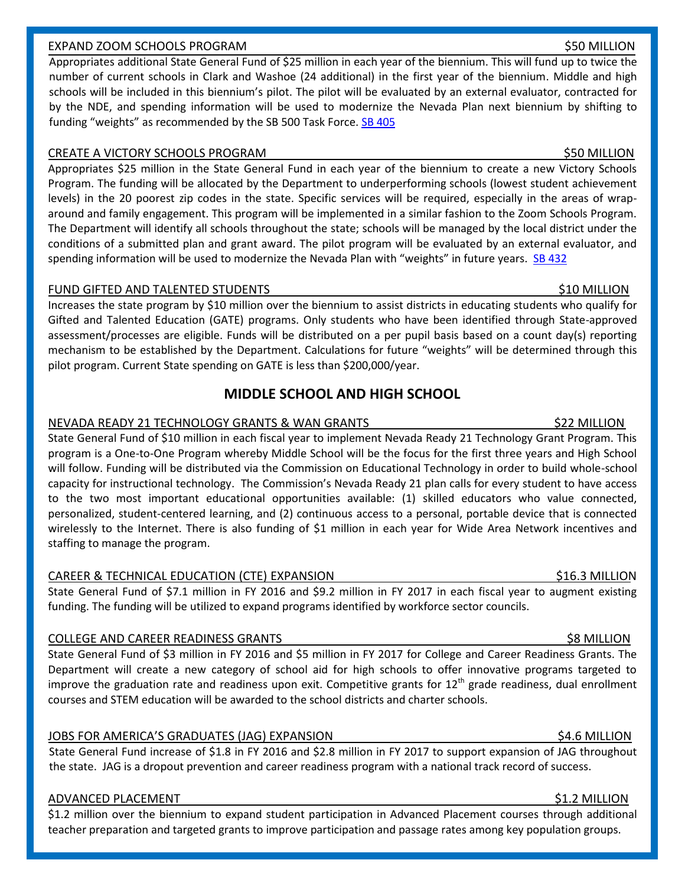### EXPAND ZOOM SCHOOLS PROGRAM \$50 MILLION

Appropriates additional State General Fund of \$25 million in each year of the biennium. This will fund up to twice the number of current schools in Clark and Washoe (24 additional) in the first year of the biennium. Middle and high schools will be included in this biennium's pilot. The pilot will be evaluated by an external evaluator, contracted for by the NDE, and spending information will be used to modernize the Nevada Plan next biennium by shifting to funding "weights" as recommended by the SB 500 Task Force. [SB 405](http://www.leg.state.nv.us/Session/78th2015/Reports/history.cfm?ID=944)

### CREATE A VICTORY SCHOOLS PROGRAM  $\sim$  350 MILLION

Appropriates \$25 million in the State General Fund in each year of the biennium to create a new Victory Schools Program. The funding will be allocated by the Department to underperforming schools (lowest student achievement levels) in the 20 poorest zip codes in the state. Specific services will be required, especially in the areas of wraparound and family engagement. This program will be implemented in a similar fashion to the Zoom Schools Program. The Department will identify all schools throughout the state; schools will be managed by the local district under the conditions of a submitted plan and grant award. The pilot program will be evaluated by an external evaluator, and spending information will be used to modernize the Nevada Plan with "weights" in future years. [SB 432](http://www.leg.state.nv.us/Session/78th2015/Reports/history.cfm?ID=949)

### FUND GIFTED AND TALENTED STUDENTS TO A SERIES AND TALENTED STUDENTS AND SAME ASSESSED AND LOCAL THREE STUDENTS

Increases the state program by \$10 million over the biennium to assist districts in educating students who qualify for Gifted and Talented Education (GATE) programs. Only students who have been identified through State-approved assessment/processes are eligible. Funds will be distributed on a per pupil basis based on a count day(s) reporting mechanism to be established by the Department. Calculations for future "weights" will be determined through this pilot program. Current State spending on GATE is less than \$200,000/year.

# **MIDDLE SCHOOL AND HIGH SCHOOL**

### NEVADA READY 21 TECHNOLOGY GRANTS & WAN GRANTS \$22 MILLION

State General Fund of \$10 million in each fiscal year to implement Nevada Ready 21 Technology Grant Program. This program is a One-to-One Program whereby Middle School will be the focus for the first three years and High School will follow. Funding will be distributed via the Commission on Educational Technology in order to build whole-school capacity for instructional technology. The Commission's Nevada Ready 21 plan calls for every student to have access to the two most important educational opportunities available: (1) skilled educators who value connected, personalized, student-centered learning, and (2) continuous access to a personal, portable device that is connected wirelessly to the Internet. There is also funding of \$1 million in each year for Wide Area Network incentives and staffing to manage the program.

### CAREER & TECHNICAL EDUCATION (CTE) EXPANSION **\$16.3 MILLION** \$16.3 MILLION

State General Fund of \$7.1 million in FY 2016 and \$9.2 million in FY 2017 in each fiscal year to augment existing funding. The funding will be utilized to expand programs identified by workforce sector councils.

### COLLEGE AND CAREER READINESS GRANTS \$8 MILLION

State General Fund of \$3 million in FY 2016 and \$5 million in FY 2017 for College and Career Readiness Grants. The Department will create a new category of school aid for high schools to offer innovative programs targeted to improve the graduation rate and readiness upon exit. Competitive grants for  $12<sup>th</sup>$  grade readiness, dual enrollment courses and STEM education will be awarded to the school districts and charter schools.

### JOBS FOR AMERICA'S GRADUATES (JAG) EXPANSION \$4.6 MILLION

State General Fund increase of \$1.8 in FY 2016 and \$2.8 million in FY 2017 to support expansion of JAG throughout the state. JAG is a dropout prevention and career readiness program with a national track record of success.

### ADVANCED PLACEMENT \$1.2 MILLION

\$1.2 million over the biennium to expand student participation in Advanced Placement courses through additional teacher preparation and targeted grants to improve participation and passage rates among key population groups.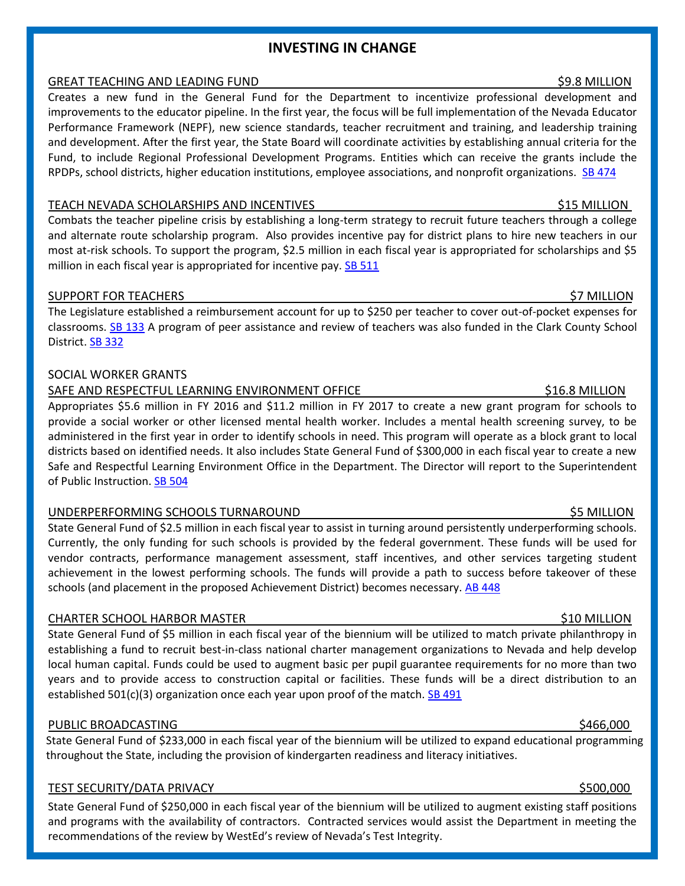### **INVESTING IN CHANGE**

### GREAT TEACHING AND LEADING FUND \$9.8 MILLION \$9.8 MILLION

Creates a new fund in the General Fund for the Department to incentivize professional development and improvements to the educator pipeline. In the first year, the focus will be full implementation of the Nevada Educator Performance Framework (NEPF), new science standards, teacher recruitment and training, and leadership training and development. After the first year, the State Board will coordinate activities by establishing annual criteria for the Fund, to include Regional Professional Development Programs. Entities which can receive the grants include the RPDPs, school districts, higher education institutions, employee associations, and nonprofit organizations. [SB 474](http://www.leg.state.nv.us/Session/78th2015/Reports/history.cfm?ID=1025)

### TEACH NEVADA SCHOLARSHIPS AND INCENTIVES **\$15 MILLION**

Combats the teacher pipeline crisis by establishing a long-term strategy to recruit future teachers through a college and alternate route scholarship program. Also provides incentive pay for district plans to hire new teachers in our most at-risk schools. To support the program, \$2.5 million in each fiscal year is appropriated for scholarships and \$5 million in each fiscal year is appropriated for incentive pay. **SB 511** 

### SUPPORT FOR TEACHERS **\$2 MILLION** \$7 MILLION

The Legislature established a reimbursement account for up to \$250 per teacher to cover out-of-pocket expenses for classrooms. [SB 133](http://www.leg.state.nv.us/Session/78th2015/Reports/history.cfm?ID=318) A program of peer assistance and review of teachers was also funded in the Clark County School District. [SB 332](http://www.leg.state.nv.us/Session/78th2015/Reports/history.cfm?ID=752)

### SOCIAL WORKER GRANTS

### SAFE AND RESPECTFUL LEARNING ENVIRONMENT OFFICE **\$16.8 MILLION** \$16.8 MILLION

Appropriates \$5.6 million in FY 2016 and \$11.2 million in FY 2017 to create a new grant program for schools to provide a social worker or other licensed mental health worker. Includes a mental health screening survey, to be administered in the first year in order to identify schools in need. This program will operate as a block grant to local districts based on identified needs. It also includes State General Fund of \$300,000 in each fiscal year to create a new Safe and Respectful Learning Environment Office in the Department. The Director will report to the Superintendent of Public Instruction. [SB 504](http://www.leg.state.nv.us/Session/78th2015/Reports/history.cfm?ID=1081)

### UNDERPERFORMING SCHOOLS TURNAROUND \$5 MILLION

State General Fund of \$2.5 million in each fiscal year to assist in turning around persistently underperforming schools. Currently, the only funding for such schools is provided by the federal government. These funds will be used for vendor contracts, performance management assessment, staff incentives, and other services targeting student achievement in the lowest performing schools. The funds will provide a path to success before takeover of these schools (and placement in the proposed Achievement District) becomes necessary. [AB 448](http://www.leg.state.nv.us/Session/78th2015/Reports/history.cfm?ID=991)

### CHARTER SCHOOL HARBOR MASTER \$10 MILLION

State General Fund of \$5 million in each fiscal year of the biennium will be utilized to match private philanthropy in establishing a fund to recruit best-in-class national charter management organizations to Nevada and help develop local human capital. Funds could be used to augment basic per pupil guarantee requirements for no more than two years and to provide access to construction capital or facilities. These funds will be a direct distribution to an established 501(c)(3) organization once each year upon proof of the match.  $SB$  491

### PUBLIC BROADCASTING \$466,000

State General Fund of \$233,000 in each fiscal year of the biennium will be utilized to expand educational programming throughout the State, including the provision of kindergarten readiness and literacy initiatives.

## TEST SECURITY/DATA PRIVACY **\$500,000 and the set of the set of the set of the set of the set of the set of the s**

State General Fund of \$250,000 in each fiscal year of the biennium will be utilized to augment existing staff positions and programs with the availability of contractors. Contracted services would assist the Department in meeting the recommendations of the review by WestEd's review of Nevada's Test Integrity.